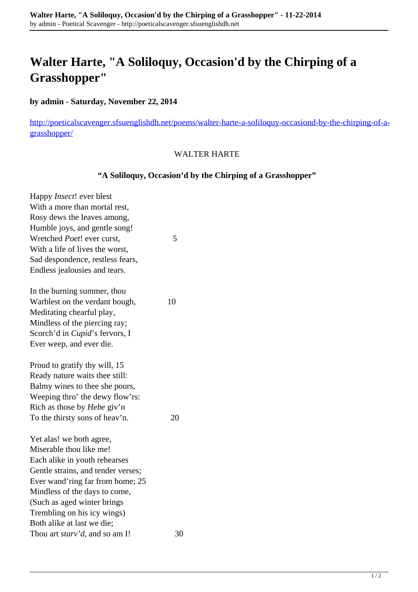# **Walter Harte, "A Soliloquy, Occasion'd by the Chirping of a Grasshopper"**

## **by admin - Saturday, November 22, 2014**

[http://poeticalscavenger.sfsuenglishdh.net/poems/walter-harte-a-soliloquy-occasiond-by-the-chirping-of-a](http://poeticalscavenger.sfsuenglishdh.net/poems/walter-harte-a-soliloquy-occasiond-by-the-chirping-of-a-grasshopper/)[grasshopper/](http://poeticalscavenger.sfsuenglishdh.net/poems/walter-harte-a-soliloquy-occasiond-by-the-chirping-of-a-grasshopper/)

#### WALTER HARTE

## **"A Soliloquy, Occasion'd by the Chirping of a Grasshopper"**

| Happy Insect! ever blest               |    |
|----------------------------------------|----|
| With a more than mortal rest,          |    |
| Rosy dews the leaves among,            |    |
| Humble joys, and gentle song!          |    |
| Wretched Poet! ever curst,             | 5  |
| With a life of lives the worst,        |    |
| Sad despondence, restless fears,       |    |
| Endless jealousies and tears.          |    |
| In the burning summer, thou            |    |
| Warblest on the verdant bough,         | 10 |
| Meditating chearful play,              |    |
| Mindless of the piercing ray;          |    |
| Scorch'd in <i>Cupid</i> 's fervors, I |    |
| Ever weep, and ever die.               |    |
| Proud to gratify thy will, 15          |    |
| Ready nature waits thee still:         |    |
| Balmy wines to thee she pours,         |    |
| Weeping thro' the dewy flow'rs:        |    |
| Rich as those by <i>Hebe</i> giv'n     |    |
| To the thirsty sons of heav'n.         | 20 |
| Yet alas! we both agree,               |    |
| Miserable thou like me!                |    |
| Each alike in youth rehearses          |    |
| Gentle strains, and tender verses;     |    |
| Ever wand'ring far from home; 25       |    |
| Mindless of the days to come,          |    |
| (Such as aged winter brings            |    |
| Trembling on his icy wings)            |    |
| Both alike at last we die;             |    |
| Thou art starv'd, and so am I!         | 30 |